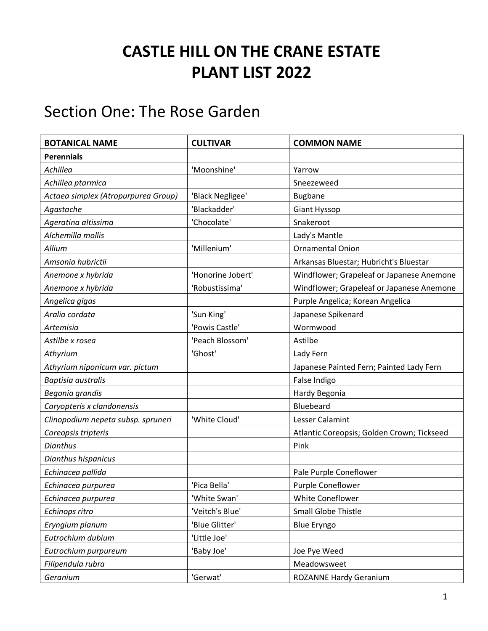## **CASTLE HILL ON THE CRANE ESTATE PLANT LIST 2022**

## Section One: The Rose Garden

| <b>BOTANICAL NAME</b>               | <b>CULTIVAR</b>   | <b>COMMON NAME</b>                         |
|-------------------------------------|-------------------|--------------------------------------------|
| <b>Perennials</b>                   |                   |                                            |
| Achillea                            | 'Moonshine'       | Yarrow                                     |
| Achillea ptarmica                   |                   | Sneezeweed                                 |
| Actaea simplex (Atropurpurea Group) | 'Black Negligee'  | <b>Bugbane</b>                             |
| Agastache                           | 'Blackadder'      | <b>Giant Hyssop</b>                        |
| Ageratina altissima                 | 'Chocolate'       | Snakeroot                                  |
| Alchemilla mollis                   |                   | Lady's Mantle                              |
| Allium                              | 'Millenium'       | <b>Ornamental Onion</b>                    |
| Amsonia hubrictii                   |                   | Arkansas Bluestar; Hubricht's Bluestar     |
| Anemone x hybrida                   | 'Honorine Jobert' | Windflower; Grapeleaf or Japanese Anemone  |
| Anemone x hybrida                   | 'Robustissima'    | Windflower; Grapeleaf or Japanese Anemone  |
| Angelica gigas                      |                   | Purple Angelica; Korean Angelica           |
| Aralia cordata                      | 'Sun King'        | Japanese Spikenard                         |
| Artemisia                           | 'Powis Castle'    | Wormwood                                   |
| Astilbe x rosea                     | 'Peach Blossom'   | Astilbe                                    |
| Athyrium                            | 'Ghost'           | Lady Fern                                  |
| Athyrium niponicum var. pictum      |                   | Japanese Painted Fern; Painted Lady Fern   |
| <b>Baptisia</b> australis           |                   | False Indigo                               |
| Begonia grandis                     |                   | Hardy Begonia                              |
| Caryopteris x clandonensis          |                   | Bluebeard                                  |
| Clinopodium nepeta subsp. spruneri  | 'White Cloud'     | Lesser Calamint                            |
| Coreopsis tripteris                 |                   | Atlantic Coreopsis; Golden Crown; Tickseed |
| <b>Dianthus</b>                     |                   | Pink                                       |
| Dianthus hispanicus                 |                   |                                            |
| Echinacea pallida                   |                   | Pale Purple Coneflower                     |
| Echinacea purpurea                  | 'Pica Bella'      | Purple Coneflower                          |
| Echinacea purpurea                  | 'White Swan'      | White Coneflower                           |
| Echinops ritro                      | 'Veitch's Blue'   | Small Globe Thistle                        |
| Eryngium planum                     | 'Blue Glitter'    | <b>Blue Eryngo</b>                         |
| Eutrochium dubium                   | 'Little Joe'      |                                            |
| Eutrochium purpureum                | 'Baby Joe'        | Joe Pye Weed                               |
| Filipendula rubra                   |                   | Meadowsweet                                |
| Geranium                            | 'Gerwat'          | <b>ROZANNE Hardy Geranium</b>              |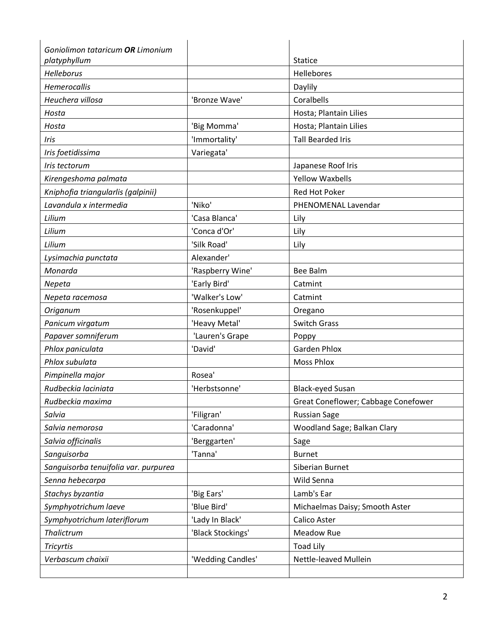| Goniolimon tataricum OR Limonium     |                   |                                     |
|--------------------------------------|-------------------|-------------------------------------|
| platyphyllum                         |                   | <b>Statice</b><br>Hellebores        |
| Helleborus                           |                   |                                     |
| Hemerocallis                         |                   | Daylily                             |
| Heuchera villosa                     | 'Bronze Wave'     | Coralbells                          |
| Hosta                                |                   | Hosta; Plantain Lilies              |
| Hosta                                | 'Big Momma'       | Hosta; Plantain Lilies              |
| Iris                                 | 'Immortality'     | <b>Tall Bearded Iris</b>            |
| Iris foetidissima                    | Variegata'        |                                     |
| Iris tectorum                        |                   | Japanese Roof Iris                  |
| Kirengeshoma palmata                 |                   | <b>Yellow Waxbells</b>              |
| Kniphofia triangularlis (galpinii)   |                   | <b>Red Hot Poker</b>                |
| Lavandula x intermedia               | 'Niko'            | PHENOMENAL Lavendar                 |
| Lilium                               | 'Casa Blanca'     | Lily                                |
| Lilium                               | 'Conca d'Or'      | Lily                                |
| Lilium                               | 'Silk Road'       | Lily                                |
| Lysimachia punctata                  | Alexander'        |                                     |
| Monarda                              | 'Raspberry Wine'  | <b>Bee Balm</b>                     |
| Nepeta                               | 'Early Bird'      | Catmint                             |
| Nepeta racemosa                      | 'Walker's Low'    | Catmint                             |
| Origanum                             | 'Rosenkuppel'     | Oregano                             |
| Panicum virgatum                     | 'Heavy Metal'     | <b>Switch Grass</b>                 |
| Papaver somniferum                   | 'Lauren's Grape   | Poppy                               |
| Phlox paniculata                     | 'David'           | <b>Garden Phlox</b>                 |
| Phlox subulata                       |                   | <b>Moss Phlox</b>                   |
| Pimpinella major                     | Rosea'            |                                     |
| Rudbeckia laciniata                  | 'Herbstsonne'     | <b>Black-eyed Susan</b>             |
| Rudbeckia maxima                     |                   | Great Coneflower; Cabbage Conefower |
| Salvia                               | 'Filigran'        | <b>Russian Sage</b>                 |
| Salvia nemorosa                      | 'Caradonna'       | Woodland Sage; Balkan Clary         |
| Salvia officinalis                   | 'Berggarten'      | Sage                                |
| Sanguisorba                          | 'Tanna'           | <b>Burnet</b>                       |
| Sanguisorba tenuifolia var. purpurea |                   | Siberian Burnet                     |
| Senna hebecarpa                      |                   | Wild Senna                          |
| Stachys byzantia                     | 'Big Ears'        | Lamb's Ear                          |
| Symphyotrichum laeve                 | 'Blue Bird'       | Michaelmas Daisy; Smooth Aster      |
| Symphyotrichum lateriflorum          | 'Lady In Black'   | Calico Aster                        |
| Thalictrum                           | 'Black Stockings' | Meadow Rue                          |
| <b>Tricyrtis</b>                     |                   | <b>Toad Lily</b>                    |
| Verbascum chaixii                    | 'Wedding Candles' | Nettle-leaved Mullein               |
|                                      |                   |                                     |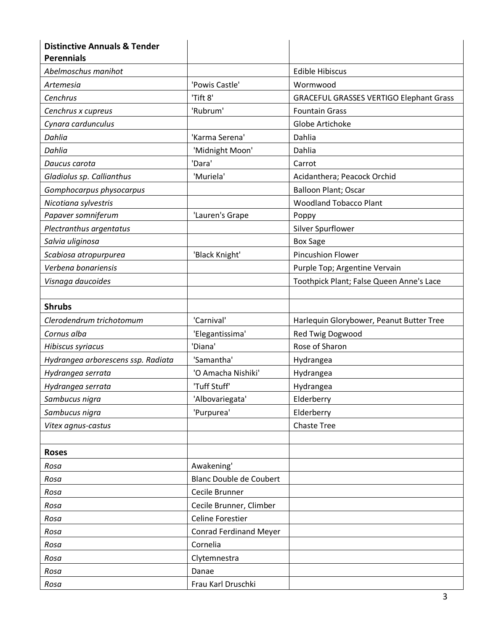| <b>Distinctive Annuals &amp; Tender</b><br><b>Perennials</b> |                                |                                                |
|--------------------------------------------------------------|--------------------------------|------------------------------------------------|
| Abelmoschus manihot                                          |                                | <b>Edible Hibiscus</b>                         |
| Artemesia                                                    | 'Powis Castle'                 | Wormwood                                       |
| Cenchrus                                                     | 'Tift 8'                       | <b>GRACEFUL GRASSES VERTIGO Elephant Grass</b> |
| Cenchrus x cupreus                                           | 'Rubrum'                       | <b>Fountain Grass</b>                          |
| Cynara cardunculus                                           |                                | Globe Artichoke                                |
| Dahlia                                                       | 'Karma Serena'                 | Dahlia                                         |
| Dahlia                                                       | 'Midnight Moon'                | Dahlia                                         |
| Daucus carota                                                | 'Dara'                         | Carrot                                         |
| Gladiolus sp. Callianthus                                    | 'Muriela'                      | Acidanthera; Peacock Orchid                    |
| Gomphocarpus physocarpus                                     |                                | <b>Balloon Plant; Oscar</b>                    |
| Nicotiana sylvestris                                         |                                | <b>Woodland Tobacco Plant</b>                  |
| Papaver somniferum                                           | 'Lauren's Grape                | Poppy                                          |
| Plectranthus argentatus                                      |                                | Silver Spurflower                              |
| Salvia uliginosa                                             |                                | <b>Box Sage</b>                                |
| Scabiosa atropurpurea                                        | 'Black Knight'                 | <b>Pincushion Flower</b>                       |
| Verbena bonariensis                                          |                                | Purple Top; Argentine Vervain                  |
| Visnaga daucoides                                            |                                | Toothpick Plant; False Queen Anne's Lace       |
|                                                              |                                |                                                |
| <b>Shrubs</b>                                                |                                |                                                |
| Clerodendrum trichotomum                                     | 'Carnival'                     | Harlequin Glorybower, Peanut Butter Tree       |
| Cornus alba                                                  | 'Elegantissima'                | Red Twig Dogwood                               |
| Hibiscus syriacus                                            | 'Diana'                        | Rose of Sharon                                 |
| Hydrangea arborescens ssp. Radiata                           | 'Samantha'                     | Hydrangea                                      |
| Hydrangea serrata                                            | 'O Amacha Nishiki'             | Hydrangea                                      |
| Hydrangea serrata                                            | 'Tuff Stuff'                   | Hydrangea                                      |
| Sambucus nigra                                               | 'Albovariegata'                | Elderberry                                     |
| Sambucus nigra                                               | 'Purpurea'                     | Elderberry                                     |
| Vitex agnus-castus                                           |                                | <b>Chaste Tree</b>                             |
|                                                              |                                |                                                |
| <b>Roses</b>                                                 |                                |                                                |
| Rosa                                                         | Awakening'                     |                                                |
| Rosa                                                         | <b>Blanc Double de Coubert</b> |                                                |
| Rosa                                                         | Cecile Brunner                 |                                                |
| Rosa                                                         | Cecile Brunner, Climber        |                                                |
| Rosa                                                         | <b>Celine Forestier</b>        |                                                |
| Rosa                                                         | <b>Conrad Ferdinand Meyer</b>  |                                                |
| Rosa                                                         | Cornelia                       |                                                |
| Rosa                                                         | Clytemnestra                   |                                                |
| Rosa                                                         | Danae                          |                                                |
| Rosa                                                         | Frau Karl Druschki             |                                                |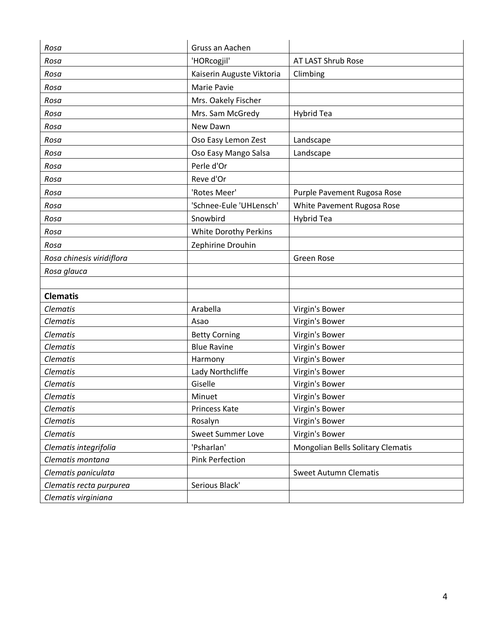| Rosa                      | Gruss an Aachen              |                                   |
|---------------------------|------------------------------|-----------------------------------|
| Rosa                      | 'HORcogjil'                  | AT LAST Shrub Rose                |
| Rosa                      | Kaiserin Auguste Viktoria    | Climbing                          |
| Rosa                      | Marie Pavie                  |                                   |
| Rosa                      | Mrs. Oakely Fischer          |                                   |
| Rosa                      | Mrs. Sam McGredy             | <b>Hybrid Tea</b>                 |
| Rosa                      | New Dawn                     |                                   |
| Rosa                      | Oso Easy Lemon Zest          | Landscape                         |
| Rosa                      | Oso Easy Mango Salsa         | Landscape                         |
| Rosa                      | Perle d'Or                   |                                   |
| Rosa                      | Reve d'Or                    |                                   |
| Rosa                      | 'Rotes Meer'                 | Purple Pavement Rugosa Rose       |
| Rosa                      | 'Schnee-Eule 'UHLensch'      | White Pavement Rugosa Rose        |
| Rosa                      | Snowbird                     | <b>Hybrid Tea</b>                 |
| Rosa                      | <b>White Dorothy Perkins</b> |                                   |
| Rosa                      | Zephirine Drouhin            |                                   |
| Rosa chinesis viridiflora |                              | Green Rose                        |
| Rosa glauca               |                              |                                   |
|                           |                              |                                   |
| <b>Clematis</b>           |                              |                                   |
| Clematis                  | Arabella                     | Virgin's Bower                    |
| Clematis                  | Asao                         | Virgin's Bower                    |
| Clematis                  | <b>Betty Corning</b>         | Virgin's Bower                    |
| <b>Clematis</b>           | <b>Blue Ravine</b>           | Virgin's Bower                    |
| Clematis                  | Harmony                      | Virgin's Bower                    |
| Clematis                  | Lady Northcliffe             | Virgin's Bower                    |
| Clematis                  | Giselle                      | Virgin's Bower                    |
| Clematis                  | Minuet                       | Virgin's Bower                    |
| Clematis                  | Princess Kate                | Virgin's Bower                    |
| Clematis                  | Rosalyn                      | Virgin's Bower                    |
| Clematis                  | <b>Sweet Summer Love</b>     | Virgin's Bower                    |
| Clematis integrifolia     | 'Psharlan'                   | Mongolian Bells Solitary Clematis |
| Clematis montana          | <b>Pink Perfection</b>       |                                   |
| Clematis paniculata       |                              | <b>Sweet Autumn Clematis</b>      |
| Clematis recta purpurea   | Serious Black'               |                                   |
| Clematis virginiana       |                              |                                   |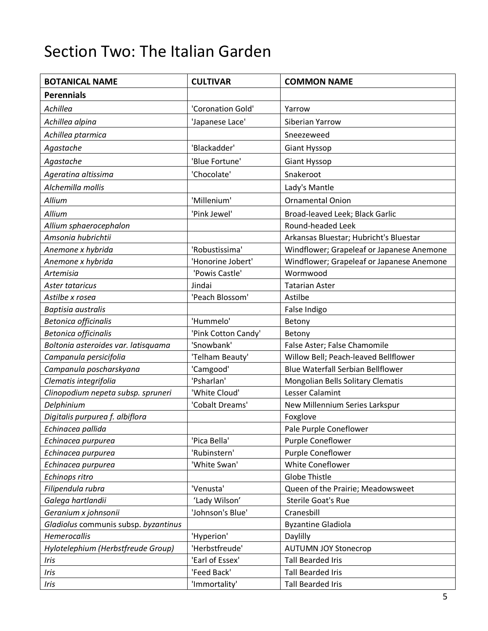## Section Two: The Italian Garden

| <b>BOTANICAL NAME</b>                | <b>CULTIVAR</b>     | <b>COMMON NAME</b>                        |
|--------------------------------------|---------------------|-------------------------------------------|
| <b>Perennials</b>                    |                     |                                           |
| Achillea                             | 'Coronation Gold'   | Yarrow                                    |
| Achillea alpina                      | 'Japanese Lace'     | Siberian Yarrow                           |
| Achillea ptarmica                    |                     | Sneezeweed                                |
| Agastache                            | 'Blackadder'        | Giant Hyssop                              |
| Agastache                            | 'Blue Fortune'      | <b>Giant Hyssop</b>                       |
| Ageratina altissima                  | 'Chocolate'         | Snakeroot                                 |
| Alchemilla mollis                    |                     | Lady's Mantle                             |
|                                      | 'Millenium'         |                                           |
| Allium                               |                     | <b>Ornamental Onion</b>                   |
| Allium                               | 'Pink Jewel'        | Broad-leaved Leek; Black Garlic           |
| Allium sphaerocephalon               |                     | Round-headed Leek                         |
| Amsonia hubrichtii                   |                     | Arkansas Bluestar; Hubricht's Bluestar    |
| Anemone x hybrida                    | 'Robustissima'      | Windflower; Grapeleaf or Japanese Anemone |
| Anemone x hybrida                    | 'Honorine Jobert'   | Windflower; Grapeleaf or Japanese Anemone |
| Artemisia                            | 'Powis Castle'      | Wormwood                                  |
| Aster tataricus                      | Jindai              | <b>Tatarian Aster</b>                     |
| Astilbe x rosea                      | 'Peach Blossom'     | Astilbe                                   |
| Baptisia australis                   |                     | False Indigo                              |
| <b>Betonica officinalis</b>          | 'Hummelo'           | Betony                                    |
| <b>Betonica officinalis</b>          | 'Pink Cotton Candy' | Betony                                    |
| Boltonia asteroides var. latisquama  | 'Snowbank'          | False Aster; False Chamomile              |
| Campanula persicifolia               | 'Telham Beauty'     | Willow Bell; Peach-leaved Bellflower      |
| Campanula poscharskyana              | 'Camgood'           | <b>Blue Waterfall Serbian Bellflower</b>  |
| Clematis integrifolia                | 'Psharlan'          | Mongolian Bells Solitary Clematis         |
| Clinopodium nepeta subsp. spruneri   | 'White Cloud'       | <b>Lesser Calamint</b>                    |
| Delphinium                           | 'Cobalt Dreams'     | New Millennium Series Larkspur            |
| Digitalis purpurea f. albiflora      |                     | Foxglove                                  |
| Echinacea pallida                    |                     | Pale Purple Coneflower                    |
| Echinacea purpurea                   | 'Pica Bella'        | Purple Coneflower                         |
| Echinacea purpurea                   | 'Rubinstern'        | Purple Coneflower                         |
| Echinacea purpurea                   | 'White Swan'        | White Coneflower                          |
| Echinops ritro                       |                     | Globe Thistle                             |
| Filipendula rubra                    | 'Venusta'           | Queen of the Prairie; Meadowsweet         |
| Galega hartlandii                    | 'Lady Wilson'       | <b>Sterile Goat's Rue</b>                 |
| Geranium x johnsonii                 | 'Johnson's Blue'    | Cranesbill                                |
| Gladiolus communis subsp. byzantinus |                     | <b>Byzantine Gladiola</b>                 |
| Hemerocallis                         | 'Hyperion'          | Daylilly                                  |
| Hylotelephium (Herbstfreude Group)   | 'Herbstfreude'      | <b>AUTUMN JOY Stonecrop</b>               |
| Iris                                 | 'Earl of Essex'     | <b>Tall Bearded Iris</b>                  |
| Iris                                 | 'Feed Back'         | <b>Tall Bearded Iris</b>                  |
| Iris                                 | 'Immortality'       | <b>Tall Bearded Iris</b>                  |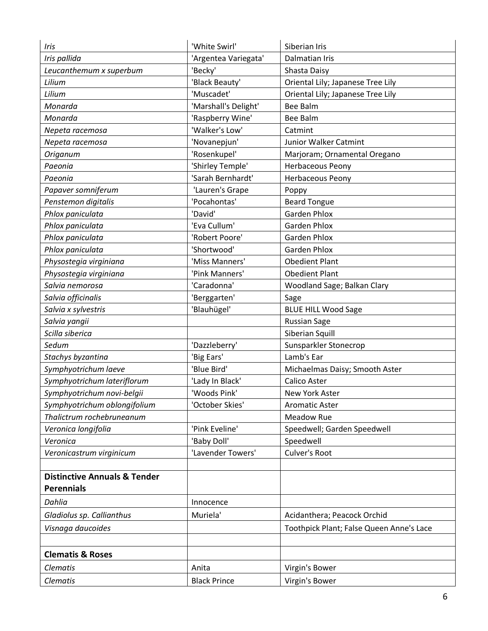| Iris                                    | 'White Swirl'        | Siberian Iris                            |
|-----------------------------------------|----------------------|------------------------------------------|
| Iris pallida                            | 'Argentea Variegata' | Dalmatian Iris                           |
| Leucanthemum x superbum                 | 'Becky'              | Shasta Daisy                             |
| Lilium                                  | 'Black Beauty'       | Oriental Lily; Japanese Tree Lily        |
| Lilium                                  | 'Muscadet'           | Oriental Lily; Japanese Tree Lily        |
| Monarda                                 | 'Marshall's Delight' | <b>Bee Balm</b>                          |
| Monarda                                 | 'Raspberry Wine'     | <b>Bee Balm</b>                          |
| Nepeta racemosa                         | 'Walker's Low'       | Catmint                                  |
| Nepeta racemosa                         | 'Novanepjun'         | Junior Walker Catmint                    |
| Origanum                                | 'Rosenkupel'         | Marjoram; Ornamental Oregano             |
| Paeonia                                 | 'Shirley Temple'     | <b>Herbaceous Peony</b>                  |
| Paeonia                                 | 'Sarah Bernhardt'    | Herbaceous Peony                         |
| Papaver somniferum                      | 'Lauren's Grape      | Poppy                                    |
| Penstemon digitalis                     | 'Pocahontas'         | <b>Beard Tongue</b>                      |
| Phlox paniculata                        | 'David'              | <b>Garden Phlox</b>                      |
| Phlox paniculata                        | 'Eva Cullum'         | <b>Garden Phlox</b>                      |
| Phlox paniculata                        | 'Robert Poore'       | <b>Garden Phlox</b>                      |
| Phlox paniculata                        | 'Shortwood'          | <b>Garden Phlox</b>                      |
| Physostegia virginiana                  | 'Miss Manners'       | <b>Obedient Plant</b>                    |
| Physostegia virginiana                  | 'Pink Manners'       | <b>Obedient Plant</b>                    |
| Salvia nemorosa                         | 'Caradonna'          | Woodland Sage; Balkan Clary              |
| Salvia officinalis                      | 'Berggarten'         | Sage                                     |
| Salvia x sylvestris                     | 'Blauhügel'          | <b>BLUE HILL Wood Sage</b>               |
| Salvia yangii                           |                      | <b>Russian Sage</b>                      |
| Scilla siberica                         |                      | Siberian Squill                          |
| Sedum                                   | 'Dazzleberry'        | Sunsparkler Stonecrop                    |
| Stachys byzantina                       | 'Big Ears'           | Lamb's Ear                               |
| Symphyotrichum laeve                    | 'Blue Bird'          | Michaelmas Daisy; Smooth Aster           |
| Symphyotrichum lateriflorum             | 'Lady In Black'      | <b>Calico Aster</b>                      |
| Symphyotrichum novi-belgii              | 'Woods Pink'         | New York Aster                           |
| Symphyotrichum oblongifolium            | 'October Skies'      | <b>Aromatic Aster</b>                    |
| Thalictrum rochebruneanum               |                      | <b>Meadow Rue</b>                        |
| Veronica longifolia                     | 'Pink Eveline'       | Speedwell; Garden Speedwell              |
| Veronica                                | 'Baby Doll'          | Speedwell                                |
| Veronicastrum virginicum                | 'Lavender Towers'    | Culver's Root                            |
|                                         |                      |                                          |
| <b>Distinctive Annuals &amp; Tender</b> |                      |                                          |
| <b>Perennials</b>                       |                      |                                          |
| Dahlia                                  | Innocence            |                                          |
| Gladiolus sp. Callianthus               | Muriela'             | Acidanthera; Peacock Orchid              |
| Visnaga daucoides                       |                      | Toothpick Plant; False Queen Anne's Lace |
|                                         |                      |                                          |
| <b>Clematis &amp; Roses</b>             |                      |                                          |
|                                         |                      |                                          |
| <b>Clematis</b>                         | Anita                | Virgin's Bower                           |
| Clematis                                | <b>Black Prince</b>  | Virgin's Bower                           |